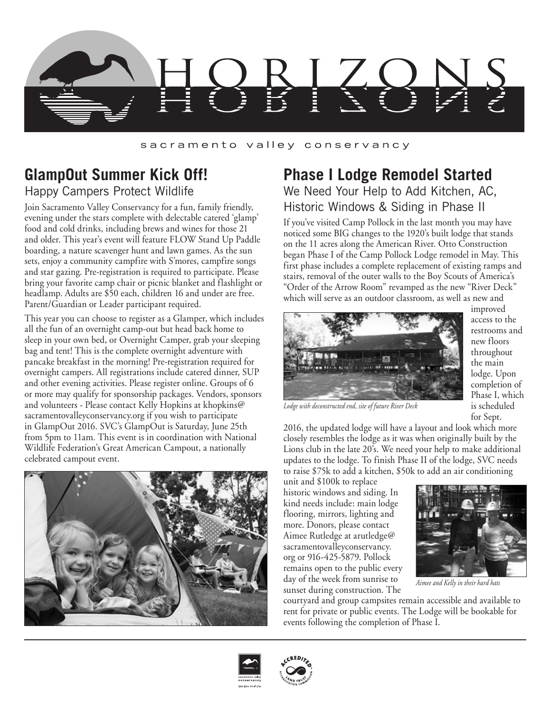

### sacramento valley conservancy

## **GlampOut Summer Kick Off!** Happy Campers Protect Wildlife

Join Sacramento Valley Conservancy for a fun, family friendly, evening under the stars complete with delectable catered 'glamp' food and cold drinks, including brews and wines for those 21 and older. This year's event will feature FLOW Stand Up Paddle boarding, a nature scavenger hunt and lawn games. As the sun sets, enjoy a community campfire with S'mores, campfire songs and star gazing. Pre-registration is required to participate. Please bring your favorite camp chair or picnic blanket and flashlight or headlamp. Adults are \$50 each, children 16 and under are free. Parent/Guardian or Leader participant required.

This year you can choose to register as a Glamper, which includes all the fun of an overnight camp-out but head back home to sleep in your own bed, or Overnight Camper, grab your sleeping bag and tent! This is the complete overnight adventure with pancake breakfast in the morning! Pre-registration required for overnight campers. All registrations include catered dinner, SUP and other evening activities. Please register online. Groups of 6 or more may qualify for sponsorship packages. Vendors, sponsors and volunteers - Please contact Kelly Hopkins at khopkins@ sacramentovalleyconservancy.org if you wish to participate in GlampOut 2016. SVC's GlampOut is Saturday, June 25th from 5pm to 11am. This event is in coordination with National Wildlife Federation's Great American Campout, a nationally celebrated campout event.



## **Phase I Lodge Remodel Started** We Need Your Help to Add Kitchen, AC, Historic Windows & Siding in Phase II

If you've visited Camp Pollock in the last month you may have noticed some BIG changes to the 1920's built lodge that stands on the 11 acres along the American River. Otto Construction began Phase I of the Camp Pollock Lodge remodel in May. This first phase includes a complete replacement of existing ramps and stairs, removal of the outer walls to the Boy Scouts of America's "Order of the Arrow Room" revamped as the new "River Deck" which will serve as an outdoor classroom, as well as new and



improved access to the restrooms and new floors throughout the main lodge. Upon completion of Phase I, which is scheduled for Sept.

*Lodge with deconstructed end, site of future River Deck*

2016, the updated lodge will have a layout and look which more closely resembles the lodge as it was when originally built by the Lions club in the late 20's. We need your help to make additional updates to the lodge. To finish Phase II of the lodge, SVC needs to raise \$75k to add a kitchen, \$50k to add an air conditioning

unit and \$100k to replace historic windows and siding. In kind needs include: main lodge flooring, mirrors, lighting and more. Donors, please contact Aimee Rutledge at arutledge@ sacramentovalleyconservancy. org or 916-425-5879. Pollock remains open to the public every day of the week from sunrise to sunset during construction. The



*Aimee and Kelly in their hard hats*

courtyard and group campsites remain accessible and available to rent for private or public events. The Lodge will be bookable for events following the completion of Phase I.



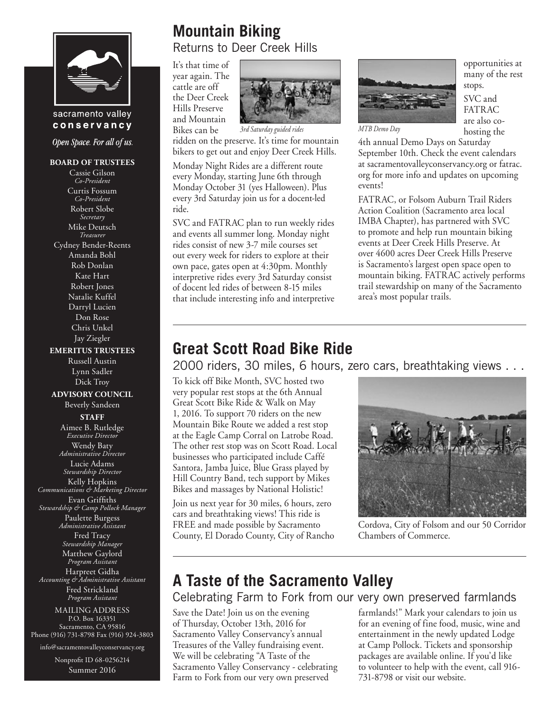

sacramento valley conservancy

Open Space. For all of us.

#### **BOARD OF TRUSTEES**

Cassie Gilson *Co-President* Curtis Fossum *Co-President* Robert Slobe *Secretary* Mike Deutsch *Treasurer* Cydney Bender-Reents Amanda Bohl Rob Donlan Kate Hart Robert Jones Natalie Kuffel Darryl Lucien Don Rose Chris Unkel Jay Ziegler

#### **EMERITUS TRUSTEES**

Russell Austin Lynn Sadler Dick Troy

#### **ADVISORY COUNCIL**

Beverly Sandeen **STAFF**

Aimee B. Rutledge *Executive Director* Wendy Baty *Administrative Director* Lucie Adams *Stewardship Director* Kelly Hopkins *Communications & Marketing Director* Evan Griffiths *Stewardship & Camp Pollock Manager* Paulette Burgess *Administrative Assistant* Fred Tracy *Stewardship Manager* Matthew Gaylord *Program Assistant* Harpreet Gidha *Accounting & Administrative Assistant* Fred Strickland *Program Assistant*

MAILING ADDRESS P.O. Box 163351 Sacramento, CA 95816 Phone (916) 731-8798 Fax (916) 924-3803

info@sacramentovalleyconservancy.org

Nonprofit ID 68-0256214 Summer 2016

# **Mountain Biking**

Returns to Deer Creek Hills

It's that time of year again. The cattle are off the Deer Creek Hills Preserve and Mountain Bikes can be



*3rd Saturday guided rides MTB Demo Day*

ridden on the preserve. It's time for mountain bikers to get out and enjoy Deer Creek Hills.

Monday Night Rides are a different route every Monday, starting June 6th through Monday October 31 (yes Halloween). Plus every 3rd Saturday join us for a docent-led ride.

SVC and FATRAC plan to run weekly rides and events all summer long. Monday night rides consist of new 3-7 mile courses set out every week for riders to explore at their own pace, gates open at 4:30pm. Monthly interpretive rides every 3rd Saturday consist of docent led rides of between 8-15 miles that include interesting info and interpretive



opportunities at many of the rest stops. SVC and

FATRAC are also cohosting the

4th annual Demo Days on Saturday September 10th. Check the event calendars at sacramentovalleyconservancy.org or fatrac. org for more info and updates on upcoming events!

FATRAC, or Folsom Auburn Trail Riders Action Coalition (Sacramento area local IMBA Chapter), has partnered with SVC to promote and help run mountain biking events at Deer Creek Hills Preserve. At over 4600 acres Deer Creek Hills Preserve is Sacramento's largest open space open to mountain biking. FATRAC actively performs trail stewardship on many of the Sacramento area's most popular trails.

## **Great Scott Road Bike Ride**

2000 riders, 30 miles, 6 hours, zero cars, breathtaking views . . .

To kick off Bike Month, SVC hosted two very popular rest stops at the 6th Annual Great Scott Bike Ride & Walk on May 1, 2016. To support 70 riders on the new Mountain Bike Route we added a rest stop at the Eagle Camp Corral on Latrobe Road. The other rest stop was on Scott Road. Local businesses who participated include Caffé Santora, Jamba Juice, Blue Grass played by Hill Country Band, tech support by Mikes Bikes and massages by National Holistic!

Join us next year for 30 miles, 6 hours, zero cars and breathtaking views! This ride is FREE and made possible by Sacramento County, El Dorado County, City of Rancho



Cordova, City of Folsom and our 50 Corridor Chambers of Commerce.

## **A Taste of the Sacramento Valley**

Celebrating Farm to Fork from our very own preserved farmlands

Save the Date! Join us on the evening of Thursday, October 13th, 2016 for Sacramento Valley Conservancy's annual Treasures of the Valley fundraising event. We will be celebrating "A Taste of the Sacramento Valley Conservancy - celebrating Farm to Fork from our very own preserved

farmlands!" Mark your calendars to join us for an evening of fine food, music, wine and entertainment in the newly updated Lodge at Camp Pollock. Tickets and sponsorship packages are available online. If you'd like to volunteer to help with the event, call 916- 731-8798 or visit our website.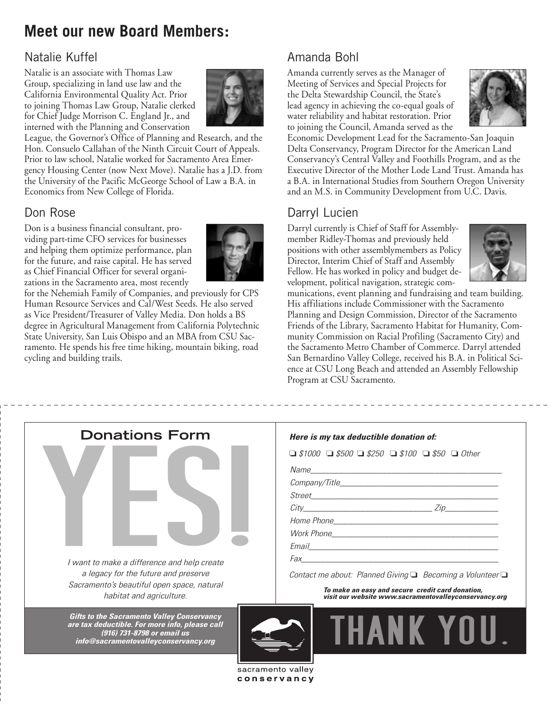# **Meet our new Board Members:**

### Natalie Kuffel

Natalie is an associate with Thomas Law Group, specializing in land use law and the California Environmental Quality Act. Prior to joining Thomas Law Group, Natalie clerked for Chief Judge Morrison C. England Jr., and interned with the Planning and Conservation



League, the Governor's Office of Planning and Research, and the Hon. Consuelo Callahan of the Ninth Circuit Court of Appeals. Prior to law school, Natalie worked for Sacramento Area Emergency Housing Center (now Next Move). Natalie has a J.D. from the University of the Pacific McGeorge School of Law a B.A. in Economics from New College of Florida.

## Don Rose

Don is a business financial consultant, providing part-time CFO services for businesses and helping them optimize performance, plan for the future, and raise capital. He has served as Chief Financial Officer for several organizations in the Sacramento area, most recently



for the Nehemiah Family of Companies, and previously for CPS Human Resource Services and Cal/West Seeds. He also served as Vice President/Treasurer of Valley Media. Don holds a BS degree in Agricultural Management from California Polytechnic State University, San Luis Obispo and an MBA from CSU Sacramento. He spends his free time hiking, mountain biking, road cycling and building trails.

## Amanda Bohl

Amanda currently serves as the Manager of Meeting of Services and Special Projects for the Delta Stewardship Council, the State's lead agency in achieving the co-equal goals of water reliability and habitat restoration. Prior to joining the Council, Amanda served as the



Economic Development Lead for the Sacramento-San Joaquin Delta Conservancy, Program Director for the American Land Conservancy's Central Valley and Foothills Program, and as the Executive Director of the Mother Lode Land Trust. Amanda has a B.A. in International Studies from Southern Oregon University and an M.S. in Community Development from U.C. Davis.

## Darryl Lucien

Darryl currently is Chief of Staff for Assemblymember Ridley-Thomas and previously held positions with other assemblymembers as Policy Director, Interim Chief of Staff and Assembly Fellow. He has worked in policy and budget development, political navigation, strategic com-



munications, event planning and fundraising and team building. His affiliations include Commissioner with the Sacramento Planning and Design Commission, Director of the Sacramento Friends of the Library, Sacramento Habitat for Humanity, Community Commission on Racial Profiling (Sacramento City) and the Sacramento Metro Chamber of Commerce. Darryl attended San Bernardino Valley College, received his B.A. in Political Science at CSU Long Beach and attended an Assembly Fellowship Program at CSU Sacramento.

| <b>Donations Form</b><br>I want to make a difference and help create                                                                                                                                                                                                                        | Here is my tax deductible donation of:<br>$\Box$ \$1000 $\Box$ \$500 $\Box$ \$250 $\Box$ \$100 $\Box$ \$50 $\Box$ Other<br>$City$ $Zip$                                                                                        |
|---------------------------------------------------------------------------------------------------------------------------------------------------------------------------------------------------------------------------------------------------------------------------------------------|--------------------------------------------------------------------------------------------------------------------------------------------------------------------------------------------------------------------------------|
| a legacy for the future and preserve<br>Sacramento's beautiful open space, natural<br>habitat and agriculture.<br><b>Gifts to the Sacramento Valley Conservancy</b><br>are tax deductible. For more info, please call<br>(916) 731-8798 or email us<br>info@sacramentovalleyconservancy.org | Contact me about: Planned Giving □ Becoming a Volunteer □<br>To make an easy and secure credit card donation,<br>visit our website www.sacramentovalleyconservancy.org<br><b>THANK YOU</b><br>sacramento valley<br>conservancy |